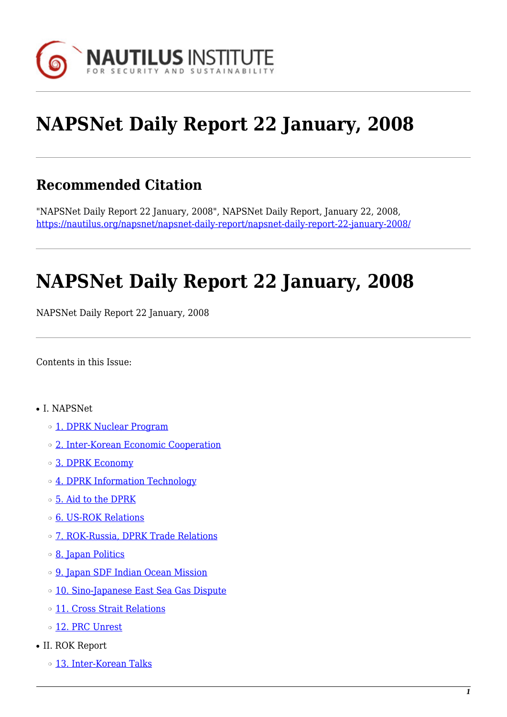

# **NAPSNet Daily Report 22 January, 2008**

# **Recommended Citation**

"NAPSNet Daily Report 22 January, 2008", NAPSNet Daily Report, January 22, 2008, <https://nautilus.org/napsnet/napsnet-daily-report/napsnet-daily-report-22-january-2008/>

# **NAPSNet Daily Report 22 January, 2008**

NAPSNet Daily Report 22 January, 2008

<span id="page-0-0"></span>Contents in this Issue:

- I. NAPSNet
	- o [1. DPRK Nuclear Program](#page-1-0)
	- ❍ [2. Inter-Korean Economic Cooperation](#page-1-1)
	- ❍ [3. DPRK Economy](#page-1-2)
	- ❍ [4. DPRK Information Technology](#page-2-0)
	- ❍ [5. Aid to the DPRK](#page-2-1)
	- ❍ [6. US-ROK Relations](#page-2-2)
	- ❍ [7. ROK-Russia, DPRK Trade Relations](#page-2-3)
	- ❍ [8. Japan Politics](#page-3-0)
	- ❍ [9. Japan SDF Indian Ocean Mission](#page-3-1)
	- o [10. Sino-Japanese East Sea Gas Dispute](#page-3-2)
	- ❍ [11. Cross Strait Relations](#page-4-0)
	- o [12. PRC Unrest](#page-4-1)
- II. ROK Report
	- o [13. Inter-Korean Talks](#page-4-2)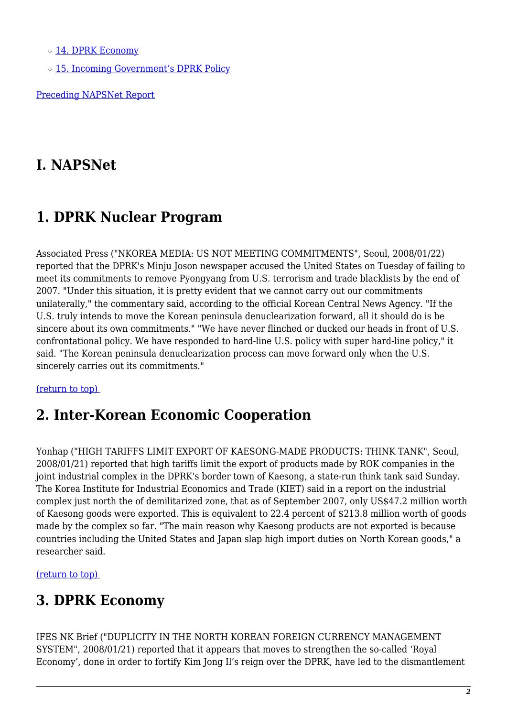o [14. DPRK Economy](#page-4-3)

o [15. Incoming Government's DPRK Policy](#page-5-0)

[Preceding NAPSNet Report](https://nautilus.org/mailing-lists/napsnet/dr/2008-2/napsnet-daily-report-21-january-2008/)

# **I. NAPSNet**

# <span id="page-1-0"></span>**1. DPRK Nuclear Program**

Associated Press ("NKOREA MEDIA: US NOT MEETING COMMITMENTS", Seoul, 2008/01/22) reported that the DPRK's Minju Joson newspaper accused the United States on Tuesday of failing to meet its commitments to remove Pyongyang from U.S. terrorism and trade blacklists by the end of 2007. "Under this situation, it is pretty evident that we cannot carry out our commitments unilaterally," the commentary said, according to the official Korean Central News Agency. "If the U.S. truly intends to move the Korean peninsula denuclearization forward, all it should do is be sincere about its own commitments." "We have never flinched or ducked our heads in front of U.S. confrontational policy. We have responded to hard-line U.S. policy with super hard-line policy," it said. "The Korean peninsula denuclearization process can move forward only when the U.S. sincerely carries out its commitments."

### <span id="page-1-1"></span>[\(return to top\)](#page-0-0)

### **2. Inter-Korean Economic Cooperation**

Yonhap ("HIGH TARIFFS LIMIT EXPORT OF KAESONG-MADE PRODUCTS: THINK TANK", Seoul, 2008/01/21) reported that high tariffs limit the export of products made by ROK companies in the joint industrial complex in the DPRK's border town of Kaesong, a state-run think tank said Sunday. The Korea Institute for Industrial Economics and Trade (KIET) said in a report on the industrial complex just north the of demilitarized zone, that as of September 2007, only US\$47.2 million worth of Kaesong goods were exported. This is equivalent to 22.4 percent of \$213.8 million worth of goods made by the complex so far. "The main reason why Kaesong products are not exported is because countries including the United States and Japan slap high import duties on North Korean goods," a researcher said.

<span id="page-1-2"></span>[\(return to top\)](#page-0-0) 

# **3. DPRK Economy**

IFES NK Brief ("DUPLICITY IN THE NORTH KOREAN FOREIGN CURRENCY MANAGEMENT SYSTEM", 2008/01/21) reported that it appears that moves to strengthen the so-called 'Royal Economy', done in order to fortify Kim Jong Il's reign over the DPRK, have led to the dismantlement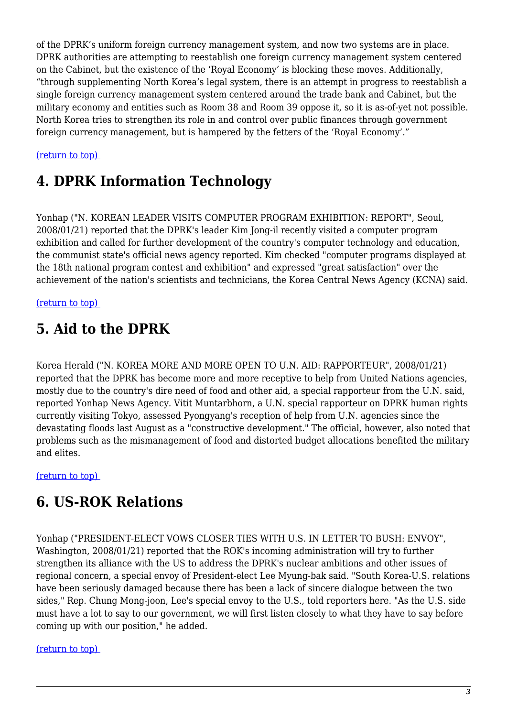of the DPRK's uniform foreign currency management system, and now two systems are in place. DPRK authorities are attempting to reestablish one foreign currency management system centered on the Cabinet, but the existence of the 'Royal Economy' is blocking these moves. Additionally, "through supplementing North Korea's legal system, there is an attempt in progress to reestablish a single foreign currency management system centered around the trade bank and Cabinet, but the military economy and entities such as Room 38 and Room 39 oppose it, so it is as-of-yet not possible. North Korea tries to strengthen its role in and control over public finances through government foreign currency management, but is hampered by the fetters of the 'Royal Economy'."

### <span id="page-2-0"></span>[\(return to top\)](#page-0-0)

## **4. DPRK Information Technology**

Yonhap ("N. KOREAN LEADER VISITS COMPUTER PROGRAM EXHIBITION: REPORT", Seoul, 2008/01/21) reported that the DPRK's leader Kim Jong-il recently visited a computer program exhibition and called for further development of the country's computer technology and education, the communist state's official news agency reported. Kim checked "computer programs displayed at the 18th national program contest and exhibition" and expressed "great satisfaction" over the achievement of the nation's scientists and technicians, the Korea Central News Agency (KCNA) said.

### <span id="page-2-1"></span>[\(return to top\)](#page-0-0)

# **5. Aid to the DPRK**

Korea Herald ("N. KOREA MORE AND MORE OPEN TO U.N. AID: RAPPORTEUR", 2008/01/21) reported that the DPRK has become more and more receptive to help from United Nations agencies, mostly due to the country's dire need of food and other aid, a special rapporteur from the U.N. said, reported Yonhap News Agency. Vitit Muntarbhorn, a U.N. special rapporteur on DPRK human rights currently visiting Tokyo, assessed Pyongyang's reception of help from U.N. agencies since the devastating floods last August as a "constructive development." The official, however, also noted that problems such as the mismanagement of food and distorted budget allocations benefited the military and elites.

### <span id="page-2-2"></span>[\(return to top\)](#page-0-0)

### **6. US-ROK Relations**

Yonhap ("PRESIDENT-ELECT VOWS CLOSER TIES WITH U.S. IN LETTER TO BUSH: ENVOY", Washington, 2008/01/21) reported that the ROK's incoming administration will try to further strengthen its alliance with the US to address the DPRK's nuclear ambitions and other issues of regional concern, a special envoy of President-elect Lee Myung-bak said. "South Korea-U.S. relations have been seriously damaged because there has been a lack of sincere dialogue between the two sides," Rep. Chung Mong-joon, Lee's special envoy to the U.S., told reporters here. "As the U.S. side must have a lot to say to our government, we will first listen closely to what they have to say before coming up with our position," he added.

### <span id="page-2-3"></span>[\(return to top\)](#page-0-0)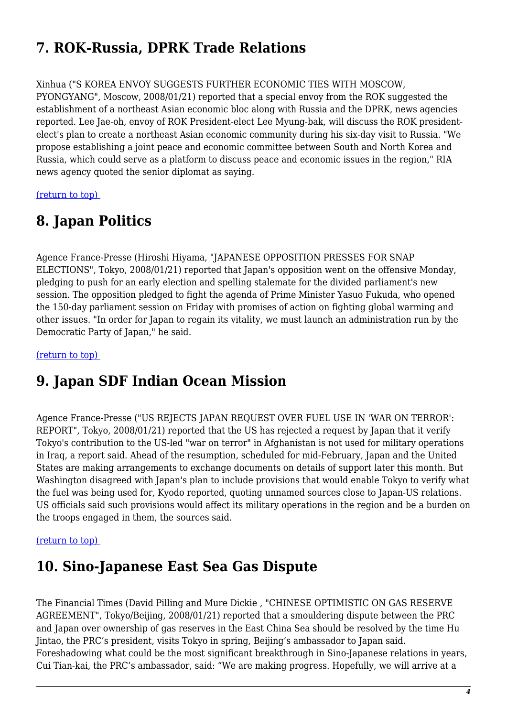# **7. ROK-Russia, DPRK Trade Relations**

### Xinhua ("S KOREA ENVOY SUGGESTS FURTHER ECONOMIC TIES WITH MOSCOW,

PYONGYANG", Moscow, 2008/01/21) reported that a special envoy from the ROK suggested the establishment of a northeast Asian economic bloc along with Russia and the DPRK, news agencies reported. Lee Jae-oh, envoy of ROK President-elect Lee Myung-bak, will discuss the ROK presidentelect's plan to create a northeast Asian economic community during his six-day visit to Russia. "We propose establishing a joint peace and economic committee between South and North Korea and Russia, which could serve as a platform to discuss peace and economic issues in the region," RIA news agency quoted the senior diplomat as saying.

<span id="page-3-0"></span>[\(return to top\)](#page-0-0) 

# **8. Japan Politics**

Agence France-Presse (Hiroshi Hiyama, "JAPANESE OPPOSITION PRESSES FOR SNAP ELECTIONS", Tokyo, 2008/01/21) reported that Japan's opposition went on the offensive Monday, pledging to push for an early election and spelling stalemate for the divided parliament's new session. The opposition pledged to fight the agenda of Prime Minister Yasuo Fukuda, who opened the 150-day parliament session on Friday with promises of action on fighting global warming and other issues. "In order for Japan to regain its vitality, we must launch an administration run by the Democratic Party of Japan," he said.

<span id="page-3-1"></span>[\(return to top\)](#page-0-0) 

# **9. Japan SDF Indian Ocean Mission**

Agence France-Presse ("US REJECTS JAPAN REQUEST OVER FUEL USE IN 'WAR ON TERROR': REPORT", Tokyo, 2008/01/21) reported that the US has rejected a request by Japan that it verify Tokyo's contribution to the US-led "war on terror" in Afghanistan is not used for military operations in Iraq, a report said. Ahead of the resumption, scheduled for mid-February, Japan and the United States are making arrangements to exchange documents on details of support later this month. But Washington disagreed with Japan's plan to include provisions that would enable Tokyo to verify what the fuel was being used for, Kyodo reported, quoting unnamed sources close to Japan-US relations. US officials said such provisions would affect its military operations in the region and be a burden on the troops engaged in them, the sources said.

### <span id="page-3-2"></span>[\(return to top\)](#page-0-0)

# **10. Sino-Japanese East Sea Gas Dispute**

The Financial Times (David Pilling and Mure Dickie , "CHINESE OPTIMISTIC ON GAS RESERVE AGREEMENT", Tokyo/Beijing, 2008/01/21) reported that a smouldering dispute between the PRC and Japan over ownership of gas reserves in the East China Sea should be resolved by the time Hu Jintao, the PRC's president, visits Tokyo in spring, Beijing's ambassador to Japan said. Foreshadowing what could be the most significant breakthrough in Sino-Japanese relations in years, Cui Tian-kai, the PRC's ambassador, said: "We are making progress. Hopefully, we will arrive at a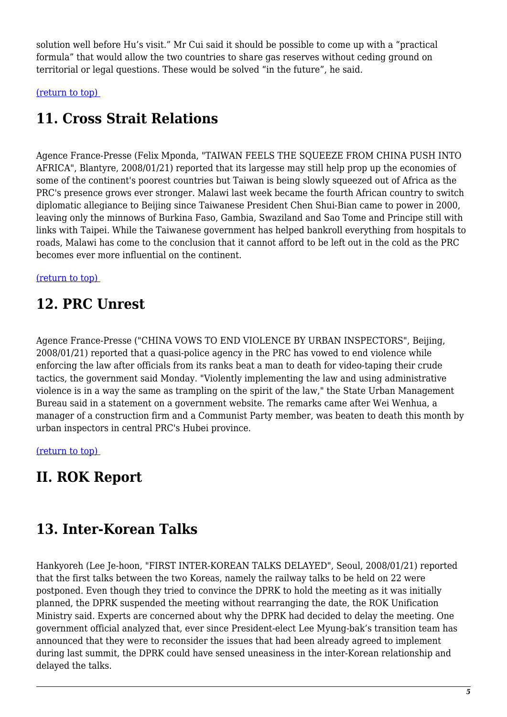solution well before Hu's visit." Mr Cui said it should be possible to come up with a "practical formula" that would allow the two countries to share gas reserves without ceding ground on territorial or legal questions. These would be solved "in the future", he said.

<span id="page-4-0"></span>[\(return to top\)](#page-0-0) 

# **11. Cross Strait Relations**

Agence France-Presse (Felix Mponda, "TAIWAN FEELS THE SQUEEZE FROM CHINA PUSH INTO AFRICA", Blantyre, 2008/01/21) reported that its largesse may still help prop up the economies of some of the continent's poorest countries but Taiwan is being slowly squeezed out of Africa as the PRC's presence grows ever stronger. Malawi last week became the fourth African country to switch diplomatic allegiance to Beijing since Taiwanese President Chen Shui-Bian came to power in 2000, leaving only the minnows of Burkina Faso, Gambia, Swaziland and Sao Tome and Principe still with links with Taipei. While the Taiwanese government has helped bankroll everything from hospitals to roads, Malawi has come to the conclusion that it cannot afford to be left out in the cold as the PRC becomes ever more influential on the continent.

<span id="page-4-1"></span>[\(return to top\)](#page-0-0) 

# **12. PRC Unrest**

Agence France-Presse ("CHINA VOWS TO END VIOLENCE BY URBAN INSPECTORS", Beijing, 2008/01/21) reported that a quasi-police agency in the PRC has vowed to end violence while enforcing the law after officials from its ranks beat a man to death for video-taping their crude tactics, the government said Monday. "Violently implementing the law and using administrative violence is in a way the same as trampling on the spirit of the law," the State Urban Management Bureau said in a statement on a government website. The remarks came after Wei Wenhua, a manager of a construction firm and a Communist Party member, was beaten to death this month by urban inspectors in central PRC's Hubei province.

[\(return to top\)](#page-0-0) 

# **II. ROK Report**

# <span id="page-4-2"></span>**13. Inter-Korean Talks**

<span id="page-4-3"></span>Hankyoreh (Lee Je-hoon, "FIRST INTER-KOREAN TALKS DELAYED", Seoul, 2008/01/21) reported that the first talks between the two Koreas, namely the railway talks to be held on 22 were postponed. Even though they tried to convince the DPRK to hold the meeting as it was initially planned, the DPRK suspended the meeting without rearranging the date, the ROK Unification Ministry said. Experts are concerned about why the DPRK had decided to delay the meeting. One government official analyzed that, ever since President-elect Lee Myung-bak's transition team has announced that they were to reconsider the issues that had been already agreed to implement during last summit, the DPRK could have sensed uneasiness in the inter-Korean relationship and delayed the talks.